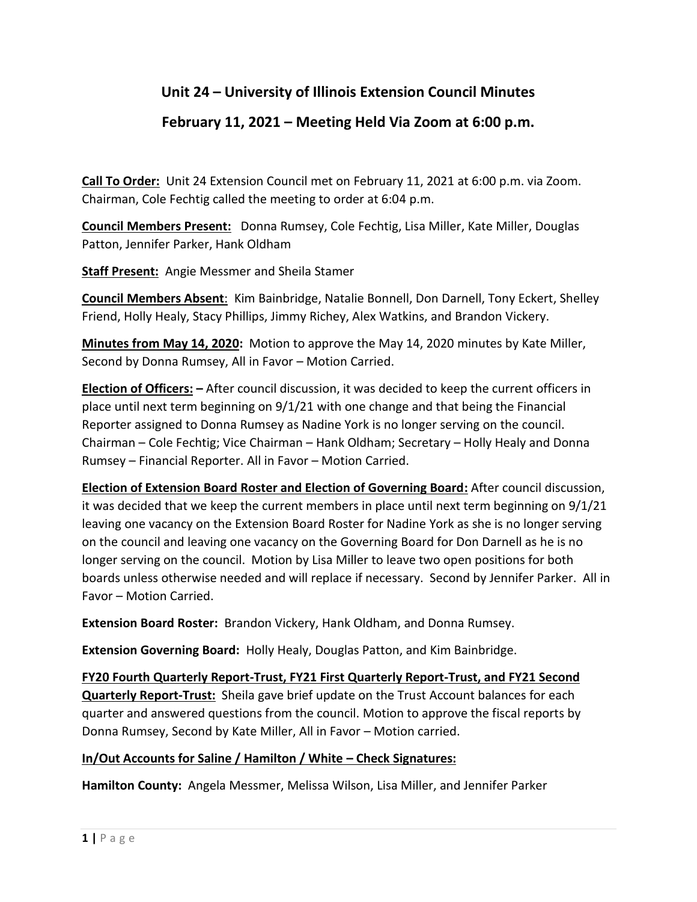## **Unit 24 – University of Illinois Extension Council Minutes**

## **February 11, 2021 – Meeting Held Via Zoom at 6:00 p.m.**

**Call To Order:** Unit 24 Extension Council met on February 11, 2021 at 6:00 p.m. via Zoom. Chairman, Cole Fechtig called the meeting to order at 6:04 p.m.

**Council Members Present:** Donna Rumsey, Cole Fechtig, Lisa Miller, Kate Miller, Douglas Patton, Jennifer Parker, Hank Oldham

**Staff Present:** Angie Messmer and Sheila Stamer

**Council Members Absent**: Kim Bainbridge, Natalie Bonnell, Don Darnell, Tony Eckert, Shelley Friend, Holly Healy, Stacy Phillips, Jimmy Richey, Alex Watkins, and Brandon Vickery.

**Minutes from May 14, 2020:** Motion to approve the May 14, 2020 minutes by Kate Miller, Second by Donna Rumsey, All in Favor – Motion Carried.

**Election of Officers: –** After council discussion, it was decided to keep the current officers in place until next term beginning on 9/1/21 with one change and that being the Financial Reporter assigned to Donna Rumsey as Nadine York is no longer serving on the council. Chairman – Cole Fechtig; Vice Chairman – Hank Oldham; Secretary – Holly Healy and Donna Rumsey – Financial Reporter. All in Favor – Motion Carried.

**Election of Extension Board Roster and Election of Governing Board:** After council discussion, it was decided that we keep the current members in place until next term beginning on 9/1/21 leaving one vacancy on the Extension Board Roster for Nadine York as she is no longer serving on the council and leaving one vacancy on the Governing Board for Don Darnell as he is no longer serving on the council. Motion by Lisa Miller to leave two open positions for both boards unless otherwise needed and will replace if necessary. Second by Jennifer Parker. All in Favor – Motion Carried.

**Extension Board Roster:** Brandon Vickery, Hank Oldham, and Donna Rumsey.

**Extension Governing Board:** Holly Healy, Douglas Patton, and Kim Bainbridge.

**FY20 Fourth Quarterly Report-Trust, FY21 First Quarterly Report-Trust, and FY21 Second Quarterly Report-Trust:** Sheila gave brief update on the Trust Account balances for each quarter and answered questions from the council. Motion to approve the fiscal reports by Donna Rumsey, Second by Kate Miller, All in Favor – Motion carried.

## **In/Out Accounts for Saline / Hamilton / White – Check Signatures:**

**Hamilton County:** Angela Messmer, Melissa Wilson, Lisa Miller, and Jennifer Parker